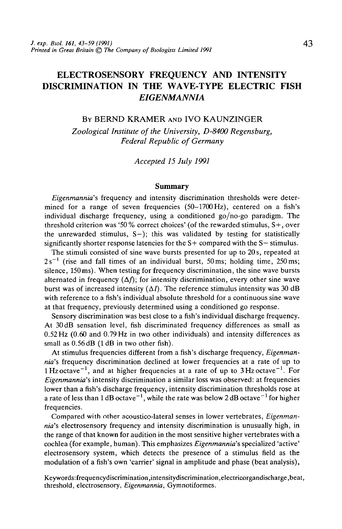# ELECTROSENSORY FREQUENCY AND INTENSITY DISCRIMINATION IN THE WAVE-TYPE ELECTRIC FISH *EIGENMANNIA*

## BY BERND KRAMER AND IVO KAUNZINGER

*Zoological Institute of the University, D-8400 Regensburg, Federal Republic of Germany*

*Accepted 15 July 1991*

## **Summary**

*Eigenmannia's* frequency and intensity discrimination thresholds were determined for a range of seven frequencies (50-1700Hz), centered on a fish's individual discharge frequency, using a conditioned go/no-go paradigm. The threshold criterion was '50% correct choices' (of the rewarded stimulus, S+, over the unrewarded stimulus,  $S-$ ); this was validated by testing for statistically significantly shorter response latencies for the S+ compared with the S- stimulus.

The stimuli consisted of sine wave bursts presented for up to 20 s, repeated at  $2s^{-1}$  (rise and fall times of an individual burst, 50 ms; holding time, 250 ms; silence, 150ms). When testing for frequency discrimination, the sine wave bursts alternated in frequency  $(\Delta f)$ ; for intensity discrimination, every other sine wave burst was of increased intensity  $(\Delta I)$ . The reference stimulus intensity was 30 dB with reference to a fish's individual absolute threshold for a continuous sine wave at that frequency, previously determined using a conditioned go response.

Sensory discrimination was best close to a fish's individual discharge frequency. At 30 dB sensation level, fish discriminated frequency differences as small as 0.52 Hz (0.60 and 0.79 Hz in two other individuals) and intensity differences as small as  $0.56$  dB (1 dB in two other fish).

At stimulus frequencies different from a fish's discharge frequency, *Eigenmannia's* frequency discrimination declined at lower frequencies at a rate of up to 1 Hz octave<sup>-1</sup>, and at higher frequencies at a rate of up to  $3$  Hz octave<sup>-1</sup>. For *Eigenmannia's* intensity discrimination a similar loss was observed: at frequencies lower than a fish's discharge frequency, intensity discrimination thresholds rose at a rate of less than  $1 \text{ dB} \cdot \text{octave}^{-1}$ , while the rate was below  $2 \text{ dB} \cdot \text{octave}^{-1}$  for higher frequencies.

Compared with other acoustico-lateral senses in lower vertebrates, *Eigenmannia's* electrosensory frequency and intensity discrimination is unusually high, in the range of that known for audition in the most sensitive higher vertebrates with a cochlea (for example, human). This emphasizes *Eigenmannia's* specialized 'active' electrosensory system, which detects the presence of a stimulus field as the modulation of a fish's own 'carrier' signal in amplitude and phase (beat analysis),

Keywords:frequencydiscrimination,intensitydiscrimination,electricorgandischarge,beat, threshold, electrosensory, *Eigenmannia,* Gymnotiformes.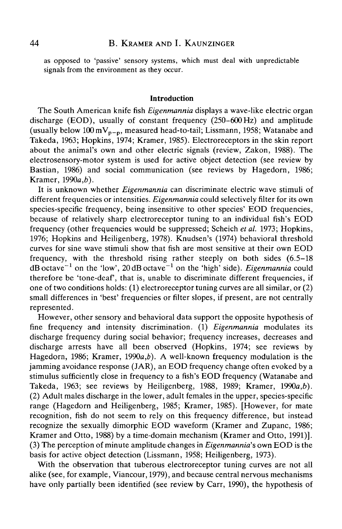as opposed to 'passive' sensory systems, which must deal with unpredictable signals from the environment as they occur.

#### **Introduction**

The South American knife fish *Eigenmannia* displays a wave-like electric organ discharge (EOD), usually of constant frequency (250-600Hz) and amplitude (usually below  $100 \text{ mV}_{p-p}$ , measured head-to-tail; Lissmann, 1958; Watanabe and Takeda, 1963; Hopkins, 1974; Kramer, 1985). Electroreceptors in the skin report about the animal's own and other electric signals (review, Zakon, 1988). The electrosensory-motor system is used for active object detection (see review by Bastian, 1986) and social communication (see reviews by Hagedorn, 1986; Kramer,  $1990a.b$ ).

It is unknown whether *Eigenmannia* can discriminate electric wave stimuli of different frequencies or intensities. *Eigenmannia* could selectively filter for its own species-specific frequency, being insensitive to other species' EOD frequencies, because of relatively sharp electroreceptor tuning to an individual fish's EOD frequency (other frequencies would be suppressed; Scheich *etal.* 1973; Hopkins, 1976; Hopkins and Heiligenberg, 1978). Knudsen's (1974) behavioral threshold curves for sine wave stimuli show that fish are most sensitive at their own EOD frequency, with the threshold rising rather steeply on both sides (6.5-18 dB octave<sup>-1</sup> on the 'low', 20 dB octave<sup>-1</sup> on the 'high' side). *Eigenmannia* could therefore be 'tone-deaf, that is, unable to discriminate different frequencies, if one of two conditions holds: (1) electroreceptor tuning curves are all similar, or (2) small differences in 'best' frequencies or filter slopes, if present, are not centrally represented.

However, other sensory and behavioral data support the opposite hypothesis of fine frequency and intensity discrimination. (1) *Eigenmannia* modulates its discharge frequency during social behavior; frequency increases, decreases and discharge arrests have all been observed (Hopkins, 1974; see reviews by Hagedorn, 1986; Kramer, 1990a,*b). A* well-known frequency modulation is the jamming avoidance response (JAR), an EOD frequency change often evoked by a stimulus sufficiently close in frequency to a fish's EOD frequency (Watanabe and Takeda, 1963; see reviews by Heiligenberg, 1988, 1989; Kramer, *1990a,b).* (2) Adult males discharge in the lower, adult females in the upper, species-specific range (Hagedorn and Heiligenberg, 1985; Kramer, 1985). [However, for mate recognition, fish do not seem to rely on this frequency difference, but instead recognize the sexually dimorphic EOD waveform (Kramer and Zupanc, 1986; Kramer and Otto, 1988) by a time-domain mechanism (Kramer and Otto, 1991)]. (3) The perception of minute amplitude changes in *Eigenmannia's* own EOD is the basis for active object detection (Lissmann, 1958; Heiligenberg, 1973).

With the observation that tuberous electroreceptor tuning curves are not all alike (see, for example, Viancour, 1979), and because central nervous mechanisms have only partially been identified (see review by Carr, 1990), the hypothesis of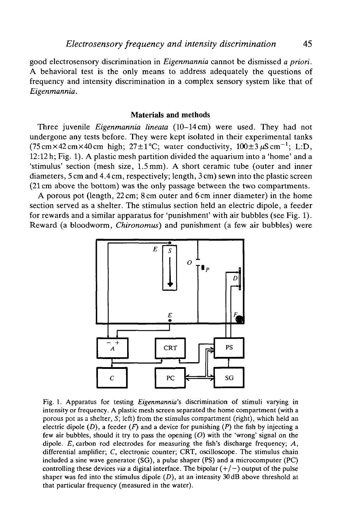good electrosensory discrimination in *Eigenmannia* cannot be dismissed *a priori.* A behavioral test is the only means to address adequately the questions of frequency and intensity discrimination in a complex sensory system like that of *Eigenmannia.*

## **Materials and methods**

Three juvenile *Eigenmannia lineata* (10-14 cm) were used. They had not undergone any tests before. They were kept isolated in their experimental tanks (75 cm × 42 cm × 40 cm high; 27 $\pm$ 1°C; water conductivity, 100 $\pm$ 3  $\mu$ S cm<sup>-1</sup>; L:D, 12:12 h; Fig. 1). A plastic mesh partition divided the aquarium into a 'home' and a 'stimulus' section (mesh size, 1.5 mm). A short ceramic tube (outer and inner diameters, 5 cm and 4.4 cm, respectively; length, 3 cm) sewn into the plastic screen (21 cm above the bottom) was the only passage between the two compartments.

A porous pot (length, 22 cm; 8 cm outer and 6 cm inner diameter) in the home section served as a shelter. The stimulus section held an electric dipole, a feeder for rewards and a similar apparatus for 'punishment' with air bubbles (see Fig. 1). Reward (a bloodworm, *Chironomus)* and punishment (a few air bubbles) were



Fig. 1. Apparatus for testing *Eigenmannia's* discrimination of stimuli varying in intensity or frequency. A plastic mesh screen separated the home compartment (with a porous pot as a shelter, *S;* left) from the stimulus compartment (right), which held an electric dipole  $(D)$ , a feeder  $(F)$  and a device for punishing  $(P)$  the fish by injecting a few air bubbles, should it try to pass the opening *(O)* with the 'wrong' signal on the dipole. *E,* carbon rod electrodes for measuring the fish's discharge frequency; *A,* differential amplifier; *C,* electronic counter; CRT, oscilloscope. The stimulus chain included a sine wave generator (SG), a pulse shaper (PS) and a microcomputer (PC) controlling these devices *via* a digital interface. The bipolar  $(+/-)$  output of the pulse shaper was fed into the stimulus dipole  $(D)$ , at an intensity 30 dB above threshold at that particular frequency (measured in the water).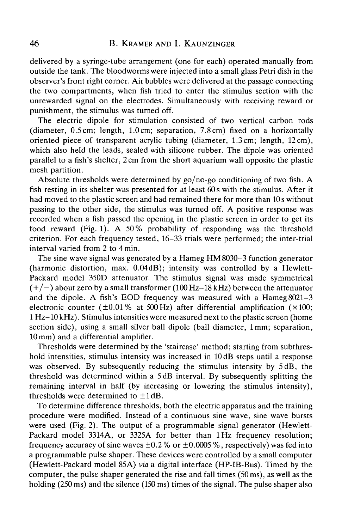delivered by a syringe-tube arrangement (one for each) operated manually from outside the tank. The bloodworms were injected into a small glass Petri dish in the observer's front right corner. Air bubbles were delivered at the passage connecting the two compartments, when fish tried to enter the stimulus section with the unrewarded signal on the electrodes. Simultaneously with receiving reward or punishment, the stimulus was turned off.

The electric dipole for stimulation consisted of two vertical carbon rods (diameter, 0.5cm; length, 1.0cm; separation, 7.8cm) fixed on a horizontally oriented piece of transparent acrylic tubing (diameter, 1.3cm; length, 12cm), which also held the leads, sealed with silicone rubber. The dipole was oriented parallel to a fish's shelter, 2 cm from the short aquarium wall opposite the plastic mesh partition.

Absolute thresholds were determined by go/no-go conditioning of two fish. A fish resting in its shelter was presented for at least 60s with the stimulus. After it had moved to the plastic screen and had remained there for more than 10 s without passing to the other side, the stimulus was turned off. A positive response was recorded when a fish passed the opening in the plastic screen in order to get its food reward (Fig. 1). A 50% probability of responding was the threshold criterion. For each frequency tested, 16-33 trials were performed; the inter-trial interval varied from 2 to 4min.

The sine wave signal was generated by a Hameg HM 8030-3 function generator (harmonic distortion, max. 0.04dB); intensity was controlled by a Hewlett-Packard model 350D attenuator. The stimulus signal was made symmetrical  $(+/-)$  about zero by a small transformer (100 Hz-18 kHz) between the attenuator and the dipole. A fish's EOD frequency was measured with a Hameg 8021-3 electronic counter ( $\pm 0.01\%$  at 500 Hz) after differential amplification ( $\times 100$ ; 1 Hz-10kHz). Stimulus intensities were measured next to the plastic screen (home section side), using a small silver ball dipole (ball diameter, 1 mm; separation, 10 mm) and a differential amplifier.

Thresholds were determined by the 'staircase' method; starting from subthreshold intensities, stimulus intensity was increased in 10 dB steps until a response was observed. By subsequently reducing the stimulus intensity by 5dB, the threshold was determined within a 5dB interval. By subsequently splitting the remaining interval in half (by increasing or lowering the stimulus intensity), thresholds were determined to  $\pm 1$  dB.

To determine difference thresholds, both the electric apparatus and the training procedure were modified. Instead of a continuous sine wave, sine wave bursts were used (Fig. 2). The output of a programmable signal generator (Hewlett-Packard model 3314A, or 3325A for better than 1 Hz frequency resolution; frequency accuracy of sine waves  $\pm 0.2$ % or  $\pm 0.0005$ %, respectively) was fed into a programmable pulse shaper. These devices were controlled by a small computer (Hewlett-Packard model 85A) *via* a digital interface (HP-IB-Bus). Timed by the computer, the pulse shaper generated the rise and fall times (50 ms), as well as the holding (250 ms) and the silence (150 ms) times of the signal. The pulse shaper also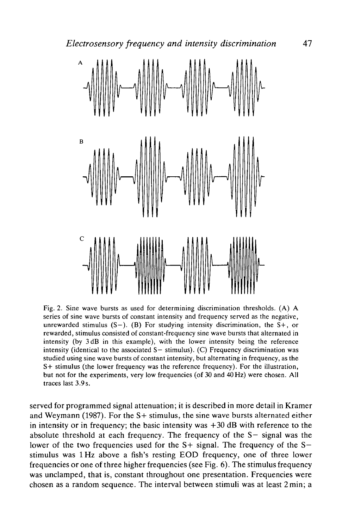



Fig. 2. Sine wave bursts as used for determining discrimination thresholds. (A) A series of sine wave bursts of constant intensity and frequency served as the negative, unrewarded stimulus  $(S-)$ . (B) For studying intensity discrimination, the  $S+$ , or rewarded, stimulus consisted of constant-frequency sine wave bursts that alternated in intensity (by 3dB in this example), with the lower intensity being the reference intensity (identical to the associated  $S-$  stimulus). (C) Frequency discrimination was studied using sine wave bursts of constant intensity, but alternating in frequency, as the S+ stimulus (the lower frequency was the reference frequency). For the illustration, but not for the experiments, very low frequencies (of 30 and 40Hz) were chosen. All traces last 3.9s.

served for programmed signal attenuation; it is described in more detail in Kramer and Weymann (1987). For the S+ stimulus, the sine wave bursts alternated either in intensity or in frequency; the basic intensity was  $+30$  dB with reference to the absolute threshold at each frequency. The frequency of the S— signal was the lower of the two frequencies used for the  $S+$  signal. The frequency of the  $S$ stimulus was lHz above a fish's resting EOD frequency, one of three lower frequencies or one of three higher frequencies (see Fig. 6). The stimulus frequency was unclamped, that is, constant throughout one presentation. Frequencies were chosen as a random sequence. The interval between stimuli was at least 2min; a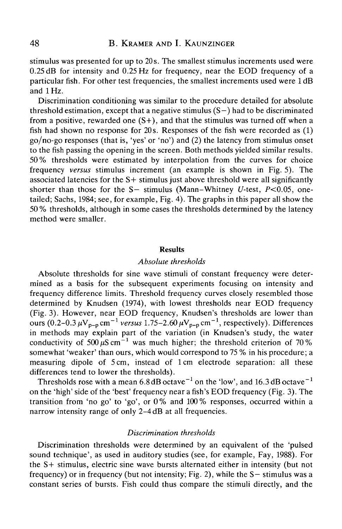stimulus was presented for up to 20 s. The smallest stimulus increments used were 0.25 dB for intensity and 0.25 Hz for frequency, near the EOD frequency of a particular fish. For other test frequencies, the smallest increments used were 1 dB and 1Hz.

Discrimination conditioning was similar to the procedure detailed for absolute threshold estimation, except that a negative stimulus  $(S-)$  had to be discriminated from a positive, rewarded one  $(S<sub>+</sub>)$ , and that the stimulus was turned off when a fish had shown no response for  $20s$ . Responses of the fish were recorded as  $(1)$ go/no-go responses (that is, 'yes' or 'no') and (2) the latency from stimulus onset to the fish passing the opening in the screen. Both methods yielded similar results. 50% thresholds were estimated by interpolation from the curves for choice frequency *versus* stimulus increment (an example is shown in Fig. 5). The associated latencies for the S+ stimulus just above threshold were all significantly shorter than those for the S- stimulus (Mann-Whitney U-test,  $P<0.05$ , onetailed; Sachs, 1984; see, for example, Fig. 4). The graphs in this paper all show the 50 % thresholds, although in some cases the thresholds determined by the latency method were smaller.

#### Results

#### *Absolute thresholds*

Absolute thresholds for sine wave stimuli of constant frequency were determined as a basis for the subsequent experiments focusing on intensity and frequency difference limits. Threshold frequency curves closely resembled those determined by Knudsen (1974), with lowest thresholds near EOD frequency (Fig. 3). However, near EOD frequency, Knudsen's thresholds are lower than ours  $(0.2-0.3 \,\mu\text{V}_{p-p}\text{cm}^{-1}$  *versus* 1.75–2.60  $\mu\text{V}_{p-p}\text{cm}^{-1}$ , respectively). Differences in methods may explain part of the variation (in Knudsen's study, the water conductivity of 500  $\mu$ S cm<sup>-1</sup> was much higher; the threshold criterion of 70% somewhat 'weaker' than ours, which would correspond to 75 % in his procedure; a measuring dipole of 5 cm, instead of lcm electrode separation: all these differences tend to lower the thresholds).

Thresholds rose with a mean 6.8 dB octave<sup>-1</sup> on the 'low', and 16.3 dB octave<sup>-1</sup> on the 'high' side of the 'best' frequency near a fish's EOD frequency (Fig. 3). The transition from 'no go' to 'go', or 0% and 100% responses, occurred within a narrow intensity range of only 2-4 dB at all frequencies.

# *Discrimination thresholds*

Discrimination thresholds were determined by an equivalent of the 'pulsed sound technique', as used in auditory studies (see, for example, Fay, 1988). For the S+ stimulus, electric sine wave bursts alternated either in intensity (but not frequency) or in frequency (but not intensity; Fig. 2), while the S— stimulus was a constant series of bursts. Fish could thus compare the stimuli directly, and the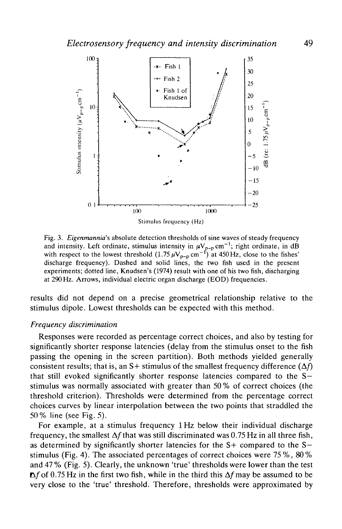

Fig. 3. *Eigenmannia's* absolute detection thresholds of sine waves of steady frequency and intensity. Left ordinate, stimulus intensity in  $\mu V_{p-p}$  cm<sup>-1</sup>; right ordinate, in dB with respect to the lowest threshold  $(1.75 \,\mu\text{V}_{p-p} \text{ cm}^{-1})$  at 450 Hz, close to the fishes' discharge frequency). Dashed and solid lines, the two fish used in the present experiments; dotted line, Knudsen's (1974) result with one of his two fish, discharging at 290 Hz. Arrows, individual electric organ discharge (EOD) frequencies.

results did not depend on a precise geometrical relationship relative to the stimulus dipole. Lowest thresholds can be expected with this method.

# *Frequency discrimination*

Responses were recorded as percentage correct choices, and also by testing for significantly shorter response latencies (delay from the stimulus onset to the fish passing the opening in the screen partition). Both methods yielded generally consistent results; that is, an S+ stimulus of the smallest frequency difference  $(\Delta f)$ that still evoked significantly shorter response latencies compared to the S stimulus was normally associated with greater than 50 % of correct choices (the threshold criterion). Thresholds were determined from the percentage correct choices curves by linear interpolation between the two points that straddled the 50% line (see Fig. 5).

For example, at a stimulus frequency lHz below their individual discharge frequency, the smallest  $\Delta f$  that was still discriminated was 0.75 Hz in all three fish, as determined by significantly shorter latencies for the  $S+$  compared to the  $S$ stimulus (Fig. 4). The associated percentages of correct choices were 75 %, 80% and 47 % (Fig. 5). Clearly, the unknown 'true' thresholds were lower than the test  $\Delta f$  of 0.75 Hz in the first two fish, while in the third this  $\Delta f$  may be assumed to be very close to the 'true' threshold. Therefore, thresholds were approximated by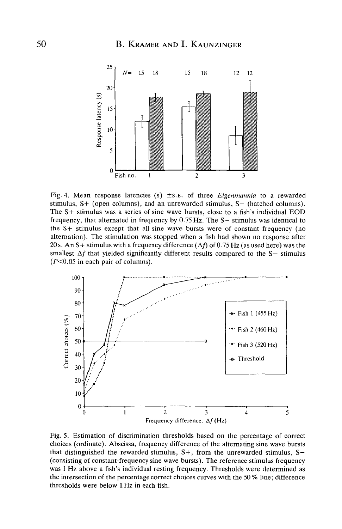

Fig. 4. Mean response latencies (s) ±S.E. of three *Eigenmannia* to a rewarded stimulus, S+ (open columns), and an unrewarded stimulus, S— (hatched columns). The S+ stimulus was a series of sine wave bursts, close to a fish's individual EOD frequency, that alternated in frequency by  $0.75$  Hz. The S $-$  stimulus was identical to the S+ stimulus except that all sine wave bursts were of constant frequency (no alternation). The stimulation was stopped when a fish had shown no response after 20 s. An S+ stimulus with a frequency difference  $(\Delta f)$  of 0.75 Hz (as used here) was the smallest  $\Delta f$  that yielded significantly different results compared to the S- stimulus  $(P<0.05$  in each pair of columns).



Fig. 5. Estimation of discrimination thresholds based on the percentage of correct choices (ordinate). Abscissa, frequency difference of the alternating sine wave bursts that distinguished the rewarded stimulus, S+, from the unrewarded stimulus, S-(consisting of constant-frequency sine wave bursts). The reference stimulus frequency was 1 Hz above a fish's individual resting frequency. Thresholds were determined as the intersection of the percentage correct choices curves with the 50 % line; difference thresholds were below lHz in each fish.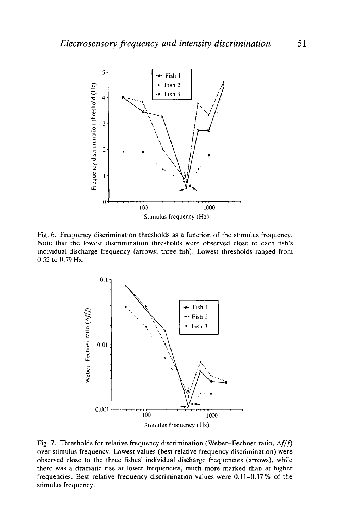

Fig. 6. Frequency discrimination thresholds as a function of the stimulus frequency. Note that the lowest discrimination thresholds were observed close to each fish's individual discharge frequency (arrows; three fish). Lowest thresholds ranged from 0.52 to 0.79 Hz.



Fig. 7. Thresholds for relative frequency discrimination (Weber-Fechner ratio,  $\Delta f/f$ ) over stimulus frequency. Lowest values (best relative frequency discrimination) were observed close to the three fishes' individual discharge frequencies (arrows), while there was a dramatic rise at lower frequencies, much more marked than at higher frequencies. Best relative frequency discrimination values were 0.11-0.17% of the stimulus frequency.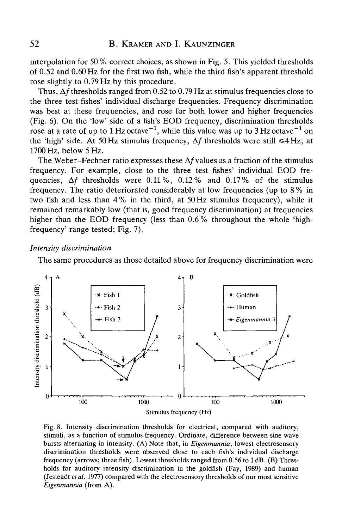interpolation for 50 % correct choices, as shown in Fig. 5. This yielded thresholds of 0.52 and 0.60 Hz for the first two fish, while the third fish's apparent threshold rose slightly to 0.79 Hz by this procedure.

Thus,  $\Delta f$  thresholds ranged from 0.52 to 0.79 Hz at stimulus frequencies close to the three test fishes' individual discharge frequencies. Frequency discrimination was best at these frequencies, and rose for both lower and higher frequencies (Fig. 6). On the 'low' side of a fish's EOD frequency, discrimination thresholds rose at a rate of up to 1 Hz octave<sup>-1</sup>, while this value was up to 3 Hz octave<sup>-1</sup> on the 'high' side. At 50 Hz stimulus frequency,  $\Delta f$  thresholds were still  $\leq 4$  Hz; at 1700 Hz, below 5 Hz.

The Weber-Fechner ratio expresses these  $\Delta f$  values as a fraction of the stimulus frequency. For example, close to the three test fishes' individual EOD frequencies,  $\Delta f$  thresholds were 0.11%, 0.12% and 0.17% of the stimulus frequency. The ratio deteriorated considerably at low frequencies (up to 8 % in two fish and less than 4% in the third, at 50Hz stimulus frequency), while it remained remarkably low (that is, good frequency discrimination) at frequencies higher than the EOD frequency (less than 0.6 % throughout the whole 'highfrequency' range tested; Fig. 7).

# *Intensity discrimination*

The same procedures as those detailed above for frequency discrimination were



Fig. 8. Intensity discrimination thresholds for electrical, compared with auditory, stimuli, as a function of stimulus frequency. Ordinate, difference between sine wave bursts alternating in intensity. (A) Note that, in *Eigenmannia,* lowest electrosensory discrimination thresholds were observed close to each fish's individual discharge frequency (arrows; three fish). Lowest thresholds ranged from 0.56 to 1 dB. (B) Thresholds for auditory intensity discrimination in the goldfish (Fay, 1989) and human (Jesteadt *et al.* 1977) compared with the electrosensory thresholds of our most sensitive *Eigenmannia* (from A).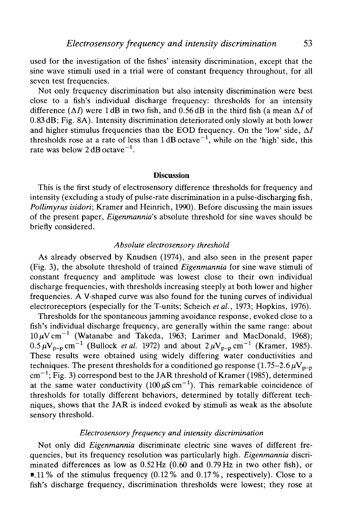used for the investigation of the fishes' intensity discrimination, except that the sine wave stimuli used in a trial were of constant frequency throughout, for all seven test frequencies.

Not only frequency discrimination but also intensity discrimination were best close to a fish's individual discharge frequency: thresholds for an intensity difference  $(\Delta I)$  were 1 dB in two fish, and 0.56 dB in the third fish (a mean  $\Delta I$  of 0.83 dB; Fig. 8A). Intensity discrimination deteriorated only slowly at both lower and higher stimulus frequencies than the EOD frequency. On the 'low' side,  $\Delta I$ thresholds rose at a rate of less than  $1 \text{ dB}$  octave<sup> $-1$ </sup>, while on the 'high' side, this rate was below  $2 \text{ dB} \cdot \text{octave}^{-1}$ .

### Discussion

This is the first study of electrosensory difference thresholds for frequency and intensity (excluding a study of pulse-rate discrimination in a pulse-discharging fish, *Pollimyrus isidori;* Kramer and Heinrich, 1990). Before discussing the main issues of the present paper, *Eigenmannia's* absolute threshold for sine waves should be briefly considered.

#### *Absolute electrosensory threshold*

As already observed by Knudsen (1974), and also seen in the present paper (Fig. 3), the absolute threshold of trained *Eigenmannia* for sine wave stimuli of constant frequency and amplitude was lowest close to their own individual discharge frequencies, with thresholds increasing steeply at both lower and higher frequencies. A V-shaped curve was also found for the tuning curves of individual electroreceptors (especially for the T-units; Scheich *etal.,* 1973; Hopkins, 1976).

Thresholds for the spontaneous jamming avoidance response, evoked close to a fish's individual discharge frequency, are generally within the same range: about  $10 \,\mu\text{V cm}^{-1}$  (Watanabe and Takeda, 1963; Larimer and MacDonald, 1968);  $0.5 \,\mu\text{V}_{p-p}$  cm<sup>-1</sup> (Bullock *et al.* 1972) and about  $2 \,\mu\text{V}_{p-p}$  cm<sup>-1</sup> (Kramer, 1985). These results were obtained using widely differing water conductivities and techniques. The present thresholds for a conditioned go response  $(1.75-2.6\,\mu\text{V}_{p-p})$  $cm^{-1}$ ; Fig. 3) correspond best to the JAR threshold of Kramer (1985), determined at the same water conductivity  $(100 \,\mu\text{S cm}^{-1})$ . This remarkable coincidence of thresholds for totally different behaviors, determined by totally different techniques, shows that the JAR is indeed evoked by stimuli as weak as the absolute sensory threshold.

# *Electrosensory frequency and intensity discrimination*

Not only did *Eigenmannia* discriminate electric sine waves of different frequencies, but its frequency resolution was particularly high. *Eigenmannia* discriminated differences as low as  $0.52 \text{ Hz}$  (0.60 and 0.79 Hz in two other fish), or **•.**11% of the stimulus frequency  $(0.12%$  and  $0.17%$ , respectively). Close to a fish's discharge frequency, discrimination thresholds were lowest; they rose at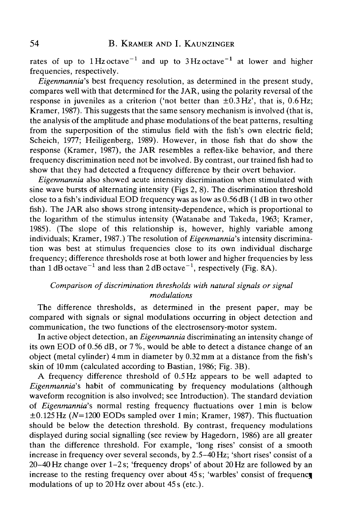rates of up to  $1 \text{ Hz}$  octave<sup>-1</sup> and up to  $3 \text{ Hz}$  octave<sup>-1</sup> at lower and higher frequencies, respectively.

*Eigenmannia's* best frequency resolution, as determined in the present study, compares well with that determined for the JAR, using the polarity reversal of the response in juveniles as a criterion ('not better than  $\pm 0.3$  Hz', that is,  $0.6$  Hz; Kramer, 1987). This suggests that the same sensory mechanism is involved (that is, the analysis of the amplitude and phase modulations of the beat patterns, resulting from the superposition of the stimulus field with the fish's own electric field; Scheich, 1977; Heiligenberg, 1989). However, in those fish that do show the response (Kramer, 1987), the JAR resembles a reflex-like behavior, and there frequency discrimination need not be involved. By contrast, our trained fish had to show that they had detected a frequency difference by their overt behavior.

*Eigenmannia* also showed acute intensity discrimination when stimulated with sine wave bursts of alternating intensity (Figs 2, 8). The discrimination threshold close to a fish's individual EOD frequency was as low as 0.56 dB (1 dB in two other fish). The JAR also shows strong intensity-dependence, which is proportional to the logarithm of the stimulus intensity (Watanabe and Takeda, 1963; Kramer, 1985). (The slope of this relationship is, however, highly variable among individuals; Kramer, 1987.) The resolution of *Eigenmannia's* intensity discrimination was best at stimulus frequencies close to its own individual discharge frequency; difference thresholds rose at both lower and higher frequencies by less than 1 dB octave $^{-1}$  and less than 2 dB octave $^{-1}$ , respectively (Fig. 8A).

# *Comparison of discrimination thresholds with natural signals or signal modulations*

The difference thresholds, as determined in the present paper, may be compared with signals or signal modulations occurring in object detection and communication, the two functions of the electrosensory-motor system.

In active object detection, an *Eigenmannia* discriminating an intensity change of its own EOD of 0.56 dB, or 7 %, would be able to detect a distance change of an object (metal cylinder) 4 mm in diameter by 0.32 mm at a distance from the fish's skin of 10mm (calculated according to Bastian, 1986; Fig. 3B).

A frequency difference threshold of 0.5 Hz appears to be well adapted to *Eigenmannia's* habit of communicating by frequency modulations (although waveform recognition is also involved; see Introduction). The standard deviation of *Eigenmannia'?,* normal resting frequency fluctuations over 1 min is below  $\pm 0.125$  Hz (N=1200 EODs sampled over 1 min; Kramer, 1987). This fluctuation should be below the detection threshold. By contrast, frequency modulations displayed during social signalling (see review by Hagedorn, 1986) are all greater than the difference threshold. For example, 'long rises' consist of a smooth increase in frequency over several seconds, by 2.5-40 Hz; 'short rises' consist of a 20-40 Hz change over 1-2 s; 'frequency drops' of about 20 Hz are followed by an increase to the resting frequency over about 45 s; 'warbles' consist of frequency modulations of up to 20Hz over about 45s (etc.).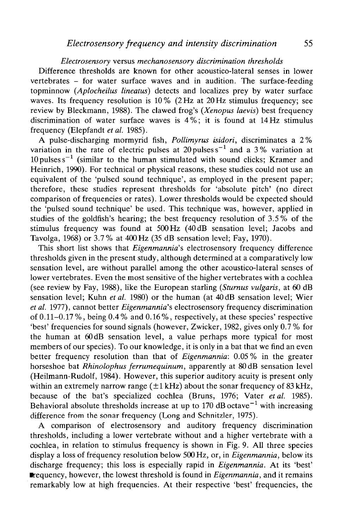# *Electrosensory* versus *mechanosensory discrimination thresholds*

Difference thresholds are known for other acoustico-lateral senses in lower vertebrates - for water surface waves and in audition. The surface-feeding topminnow *(Aplocheilus lineatus)* detects and localizes prey by water surface waves. Its frequency resolution is 10% (2 Hz at 20 Hz stimulus frequency; see review by Bleckmann, 1988). The clawed frog's *(Xenopus laevis)* best frequency discrimination of water surface waves is 4%; it is found at 14Hz stimulus frequency (Elepfandt *et al.* 1985).

A pulse-discharging mormyrid fish, *Pollimyrus isidori,* discriminates a 2% variation in the rate of electric pulses at 20 pulses  $s^{-1}$  and a 3% variation at 10 pulses  $s^{-1}$  (similar to the human stimulated with sound clicks; Kramer and Heinrich, 1990). For technical or physical reasons, these studies could not use an equivalent of the 'pulsed sound technique', as employed in the present paper; therefore, these studies represent thresholds for 'absolute pitch' (no direct comparison of frequencies or rates). Lower thresholds would be expected should the 'pulsed sound technique' be used. This technique was, however, applied in studies of the goldfish's hearing; the best frequency resolution of 3.5% of the stimulus frequency was found at 500 Hz (40 dB sensation level; Jacobs and Tavolga, 1968) or 3.7% at 400Hz (35 dB sensation level; Fay, 1970).

This short list shows that *Eigenmannia's* electrosensory frequency difference thresholds given in the present study, although determined at a comparatively low sensation level, are without parallel among the other acoustico-lateral senses of lower vertebrates. Even the most sensitive of the higher vertebrates with a cochlea (see review by Fay, 1988), like the European starling *(Sturnus vulgaris,* at 60 dB sensation level; Kuhn *et al.* 1980) or the human (at 40 dB sensation level; Wier *et al.* 1977), cannot better *Eigenmannia's* electrosensory frequency discrimination of 0.11-0.17 %, being 0.4 % and 0.16 %, respectively, at these species' respective 'best' frequencies for sound signals (however, Zwicker, 1982, gives only 0.7 % for the human at 60 dB sensation level, a value perhaps more typical for most members of our species). To our knowledge, it is only in a bat that we find an even better frequency resolution than that of *Eigenmannia:* 0.05 % in the greater horseshoe bat *Rhinolophus ferrumequinum,* apparently at 80 dB sensation level (Heilmann-Rudolf, 1984). However, this superior auditory acuity is present only within an extremely narrow range  $(\pm 1 \text{ kHz})$  about the sonar frequency of 83 kHz, because of the bat's specialized cochlea (Bruns, 1976; Vater *et al.* 1985). Behavioral absolute thresholds increase at up to 170 dB octave<sup> $-1$ </sup> with increasing difference from the sonar frequency (Long and Schnitzler, 1975).

A comparison of electrosensory and auditory frequency discrimination thresholds, including a lower vertebrate without and a higher vertebrate with a cochlea, in relation to stimulus frequency is shown in Fig. 9. All three species display a loss of frequency resolution below 500 Hz, or, in *Eigenmannia,* below its discharge frequency; this loss is especially rapid in *Eigenmannia.* At its 'best' **•** requency, however, the lowest threshold is found in *Eigenmannia*, and it remains remarkably low at high frequencies. At their respective 'best' frequencies, the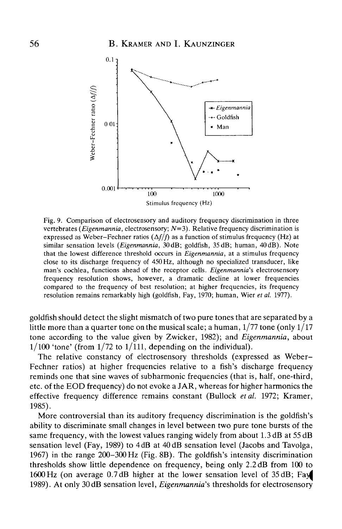

Fig. 9. Comparison of electrosensory and auditory frequency discrimination in three vertebrates *(Eigenmannia,* electrosensory; *N=3).* Relative frequency discrimination is expressed as Weber-Fechner ratios  $(\Delta f/f)$  as a function of stimulus frequency (Hz) at similar sensation levels *(Eigenmannia,* 30dB; goldfish, 35dB; human, 40dB). Note that the lowest difference threshold occurs in *Eigenmannia,* at a stimulus frequency close to its discharge frequency of 450 Hz, although no specialized transducer, like man's cochlea, functions ahead of the receptor cells. *Eigenmannia'%* electrosensory frequency resolution shows, however, a dramatic decline at lower frequencies compared to the frequency of best resolution; at higher frequencies, its frequency resolution remains remarkably high (goldfish, Fay, 1970; human, Wier *et al.* 1977).

goldfish should detect the slight mismatch of two pure tones that are separated by a little more than a quarter tone on the musical scale; a human,  $1/77$  tone (only  $1/17$ ) tone according to the value given by Zwicker, 1982); and *Eigenmannia,* about  $1/100$  'tone' (from  $1/72$  to  $1/111$ , depending on the individual).

The relative constancy of electrosensory thresholds (expressed as Weber-Fechner ratios) at higher frequencies relative to a fish's discharge frequency reminds one that sine waves of subharmonic frequencies (that is, half, one-third, etc. of the EOD frequency) do not evoke a JAR, whereas for higher harmonics the effective frequency difference remains constant (Bullock *et al.* 1972; Kramer, 1985).

More controversial than its auditory frequency discrimination is the goldfish's ability to discriminate small changes in level between two pure tone bursts of the same frequency, with the lowest values ranging widely from about 1.3 dB at 55 dB sensation level (Fay, 1989) to 4dB at 40 dB sensation level (Jacobs and Tavolga, 1967) in the range 200-300 Hz (Fig. 8B). The goldfish's intensity discrimination thresholds show little dependence on frequency, being only 2.2 dB from 100 to 1600 Hz (on average 0.7dB higher at the lower sensation level of 35 dB; Fay 1989). At only 30dB sensation level, *Eigenmannia's* thresholds for electrosensory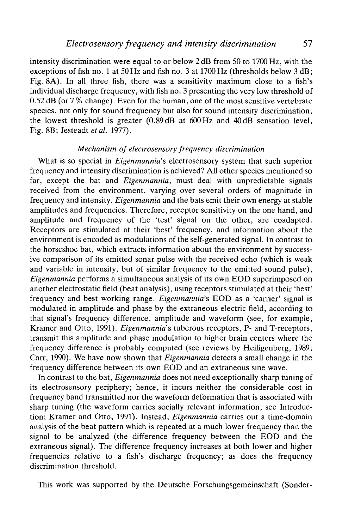intensity discrimination were equal to or below 2dB from 50 to 1700 Hz, with the exceptions of fish no. 1 at 50 Hz and fish no. 3 at 1700 Hz (thresholds below 3 dB; Fig. 8A). In all three fish, there was a sensitivity maximum close to a fish's individual discharge frequency, with fish no. 3 presenting the very low threshold of 0.52 dB (or 7 % change). Even for the human, one of the most sensitive vertebrate species, not only for sound frequency but also for sound intensity discrimination, the lowest threshold is greater (0.89 dB at 600Hz and 40dB sensation level, Fig. 8B; Jesteadt *etal.* 1977).

### *Mechanism of electrosensory frequency discrimination*

What is so special in *Eigenmannia's* electrosensory system that such superior frequency and intensity discrimination is achieved? All other species mentioned so far, except the bat and *Eigenmannia,* must deal with unpredictable signals received from the environment, varying over several orders of magnitude in frequency and intensity. *Eigenmannia* and the bats emit their own energy at stable amplitudes and frequencies. Therefore, receptor sensitivity on the one hand, and amplitude and frequency of the 'test' signal on the other, are coadapted. Receptors are stimulated at their 'best' frequency, and information about the environment is encoded as modulations of the self-generated signal. In contrast to the horseshoe bat, which extracts information about the environment by successive comparison of its emitted sonar pulse with the received echo (which is weak and variable in intensity, but of similar frequency to the emitted sound pulse), *Eigenmannia* performs a simultaneous analysis of its own EOD superimposed on another electrostatic field (beat analysis), using receptors stimulated at their 'best' frequency and best working range. *Eigenmannia's* EOD as a 'carrier' signal is modulated in amplitude and phase by the extraneous electric field, according to that signal's frequency difference, amplitude and waveform (see, for example, Kramer and Otto, 1991). *Eigenmannia's* tuberous receptors, P- and T-receptors, transmit this amplitude and phase modulation to higher brain centers where the frequency difference is probably computed (see reviews by Heiligenberg, 1989; Carr, 1990). We have now shown that *Eigenmannia* detects a small change in the frequency difference between its own EOD and an extraneous sine wave.

In contrast to the bat, *Eigenmannia* does not need exceptionally sharp tuning of its electrosensory periphery; hence, it incurs neither the considerable cost in frequency band transmitted nor the waveform deformation that is associated with sharp tuning (the waveform carries socially relevant information; see Introduction; Kramer and Otto, 1991). Instead, *Eigenmannia* carries out a time-domain analysis of the beat pattern which is repeated at a much lower frequency than the signal to be analyzed (the difference frequency between the EOD and the extraneous signal). The difference frequency increases at both lower and higher frequencies relative to a fish's discharge frequency; as does the frequency discrimination threshold.

This work was supported by the Deutsche Forschungsgemeinschaft (Sonder-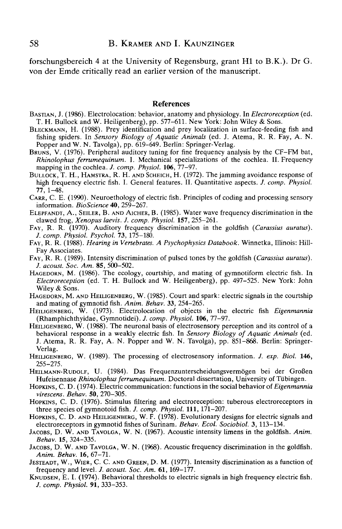forschungsbereich 4 at the University of Regensburg, grant HI to B.K.). Dr G. von der Emde critically read an earlier version of the manuscript.

### References

- BASTIAN, J. (1986). Electrolocation: behavior, anatomy and physiology. In *Electroreception* (ed. T. H. Bullock and W. Heiligenberg), pp. 577–611. New York: John Wiley & Sons.
- BLECKMANN, H. (1988). Prey identification and prey localization in surface-feeding fish and fishing spiders. In *Sensory Biology of Aquatic Animals* (ed. J. Atema, R. R. Fay, A. N.
- BRUNS, V. (1976). Peripheral auditory tuning for fine frequency analysis by the CF-FM bat, *Rhinolophus ferrumequinum.* I. Mechanical specializations of the cochlea. II. Frequency mapping in the cochlea. J. comp. Physiol. **106**, 77–97.
- BULLOCK, T. H., HAMSTRA, R. H. AND SCHEICH, H. (1972). The jamming avoidance response of high frequency electric fish. I. General features. II. Quantitative aspects. *J. comp. Physiol.*
- CARR, C. E. (1990). Neuroethology of electric fish. Principles of coding and processing sensory information. *BioScience* **40**, 259–267.
- ELEPFANDT, A., SEILER, B. AND AICHER, B. (1985). Water wave frequency discrimination in the clawed frog, *Xenopus laevis. J. comp. Physiol.* **157**, 255-261.
- FAY, R. R. (1970). Auditory frequency discrimination in the goldfish (*Carassius auratus*).<br>*J. comp. Physiol. Psychol.* **73**, 175–180.
- FAY, R. R. (1988). Hearing in Vertebrates. A Psychophysics Databook. Winnetka, Illinois: Hill-<br>Fay Associates.<br>FAY, R. R. (1989). Intensity discrimination of pulsed tones by the goldfish (*Carassius auratus*).<br>*J. acoust.*
- 
- HAGEDORN, M. (1986). The ecology, courtship, and mating of gymnotiform electric fish. In *Electroreception* (ed. T. H. Bullock and W. Heiligenberg), pp. 497–525. New York: John Wiley & Sons.
- HAGEDORN, M. AND HEILIGENBERG, W. (1985). Court and spark: electric signals in the courtship and mating of gymnotid fish. Anim. Behav. 33, 254–265.
- HEILIGENBERG, W. (1973). Electrolocation of objects in the electric fish *Eigenmannia* (Rhamphichthyidae, Gymnotidei). *J. comp. Physiol.* **106**, 77–97.
- HEILIGENBERG, W. (1988). The neuronal basis of electrosensory perception and its control of a behavioral response in a weakly electric fish. In *Sensory Biology of Aquatic Animals* (ed. J. Atema, R. R. Fay, A. N. Popper and W. N. Tavolga), pp. 851-868. Berlin: Springer-Verlag. HEILIGENBERG, W. (1989). The processing of electrosensory information. /. *exp. Biol.* **146,**
- 255-275. HEILMANN-RUDOLF, U. (1984). Das Frequenzunterscheidungsvermogen bei der GroBen
- Hufeisennase *Rhinolophus ferrumequinum.* Doctoral dissertation, University of Tiibingen. HOPKINS, C. D. (1974). Electric communication: functions in the social behavior of *Eigenmannia*
- 
- *virescens. Behav.* **50**, 270–305.<br> **HOPKINS, C. D. (1976). Stimulus filtering and electroreception: tuberous electroreceptors in three species of gymnotoid fish.** *J. comp. Physiol.* **111, 171–207.**
- HOPKINS, C. D. AND HEILIGENBERG, W. F. (1978). Evolutionary designs for electric signals and electroreceptors in gymnotid fishes of Surinam. *Behav. Ecol. Sociobiol.* 3, 113–134.
- electroreceptors in gymnotid fishes of Surinam. *Behav. Ecol. Sociobiol.* 3, 113-134. JACOBS, D. W. AND TAVOLGA, W. N. (1967). Acoustic intensity limens in the goldfish. *Anim.*
- Behav. 15, 324–335.<br>JACOBS, D. W. AND TAVOLGA, W. N. (1968). Acoustic frequency discrimination in the goldfish.<br>Anim. Behav. 16, 67–71.<br>JESTEADT, W., WIER, C. C. AND GREEN, D. M. (1977). Intensity discrimination as a funct
- 
- KNUDSEN, E. I. (1974). Behavioral thresholds to electric signals in high frequency electric fish. *J. comp. Physiol.* 91, 333-353.